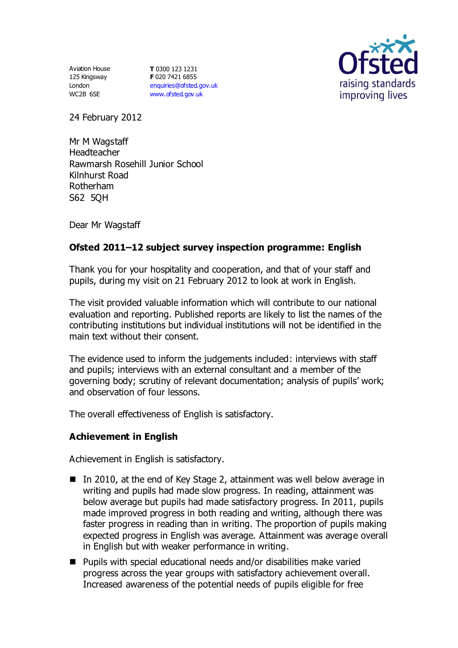Aviation House 125 Kingsway London WC2B 6SE

**T** 0300 123 1231 **F** 020 7421 6855 [enquiries@ofsted.gov.uk](mailto:enquiries@ofsted.gov.uk) [www.ofsted.gov.uk](http://www.ofsted.gov.uk/)



24 February 2012

Mr M Wagstaff Headteacher Rawmarsh Rosehill Junior School Kilnhurst Road Rotherham S62 5QH

Dear Mr Wagstaff

# **Ofsted 2011–12 subject survey inspection programme: English**

Thank you for your hospitality and cooperation, and that of your staff and pupils, during my visit on 21 February 2012 to look at work in English.

The visit provided valuable information which will contribute to our national evaluation and reporting. Published reports are likely to list the names of the contributing institutions but individual institutions will not be identified in the main text without their consent.

The evidence used to inform the judgements included: interviews with staff and pupils; interviews with an external consultant and a member of the governing body; scrutiny of relevant documentation; analysis of pupils' work; and observation of four lessons.

The overall effectiveness of English is satisfactory.

## **Achievement in English**

Achievement in English is satisfactory.

- In 2010, at the end of Key Stage 2, attainment was well below average in writing and pupils had made slow progress. In reading, attainment was below average but pupils had made satisfactory progress. In 2011, pupils made improved progress in both reading and writing, although there was faster progress in reading than in writing. The proportion of pupils making expected progress in English was average. Attainment was average overall in English but with weaker performance in writing.
- Pupils with special educational needs and/or disabilities make varied progress across the year groups with satisfactory achievement overall. Increased awareness of the potential needs of pupils eligible for free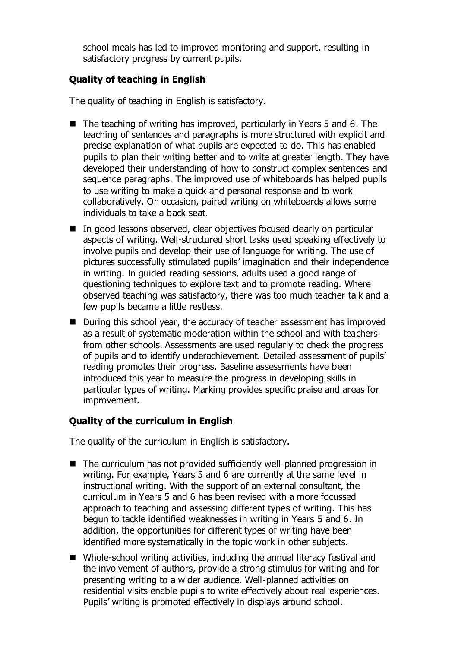school meals has led to improved monitoring and support, resulting in satisfactory progress by current pupils.

## **Quality of teaching in English**

The quality of teaching in English is satisfactory.

- $\blacksquare$  The teaching of writing has improved, particularly in Years 5 and 6. The teaching of sentences and paragraphs is more structured with explicit and precise explanation of what pupils are expected to do. This has enabled pupils to plan their writing better and to write at greater length. They have developed their understanding of how to construct complex sentences and sequence paragraphs. The improved use of whiteboards has helped pupils to use writing to make a quick and personal response and to work collaboratively. On occasion, paired writing on whiteboards allows some individuals to take a back seat.
- In good lessons observed, clear objectives focused clearly on particular aspects of writing. Well-structured short tasks used speaking effectively to involve pupils and develop their use of language for writing. The use of pictures successfully stimulated pupils' imagination and their independence in writing. In guided reading sessions, adults used a good range of questioning techniques to explore text and to promote reading. Where observed teaching was satisfactory, there was too much teacher talk and a few pupils became a little restless.
- During this school year, the accuracy of teacher assessment has improved as a result of systematic moderation within the school and with teachers from other schools. Assessments are used regularly to check the progress of pupils and to identify underachievement. Detailed assessment of pupils' reading promotes their progress. Baseline assessments have been introduced this year to measure the progress in developing skills in particular types of writing. Marking provides specific praise and areas for improvement.

## **Quality of the curriculum in English**

The quality of the curriculum in English is satisfactory.

- The curriculum has not provided sufficiently well-planned progression in writing. For example, Years 5 and 6 are currently at the same level in instructional writing. With the support of an external consultant, the curriculum in Years 5 and 6 has been revised with a more focussed approach to teaching and assessing different types of writing. This has begun to tackle identified weaknesses in writing in Years 5 and 6. In addition, the opportunities for different types of writing have been identified more systematically in the topic work in other subjects.
- Whole-school writing activities, including the annual literacy festival and the involvement of authors, provide a strong stimulus for writing and for presenting writing to a wider audience. Well-planned activities on residential visits enable pupils to write effectively about real experiences. Pupils' writing is promoted effectively in displays around school.